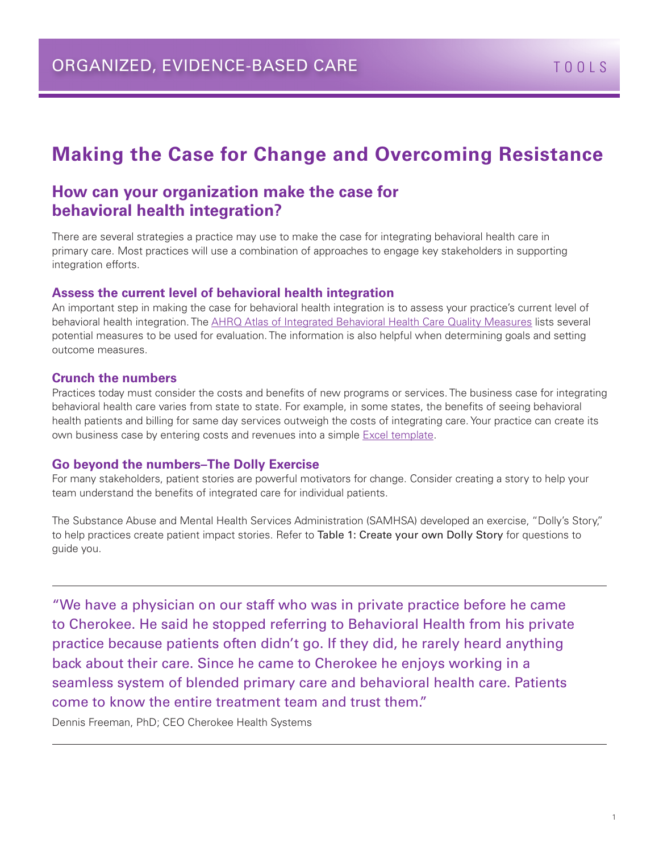# **Making the Case for Change and Overcoming Resistance**

### **How can your organization make the case for behavioral health integration?**

There are several strategies a practice may use to make the case for integrating behavioral health care in primary care. Most practices will use a combination of approaches to engage key stakeholders in supporting integration efforts.

#### **Assess the current level of behavioral health integration**

An important step in making the case for behavioral health integration is to assess your practice's current level of behavioral health integration. Th[e AHRQ Atlas of Integrated Behavioral Health Care Quality Measures l](http://integrationacademy.ahrq.gov/atlas)ists several potential measures to be used for evaluation. The information is also helpful when determining goals and setting outcome measures.

#### **Crunch the numbers**

Practices today must consider the costs and benefits of new programs or services. The business case for integrating behavioral health care varies from state to state. For example, in some states, the benefits of seeing behavioral health patients and billing for same day services outweigh the costs of integrating care. Your practice can create its own business case by entering costs and revenues into a simple [Excel template](http://www.integration.samhsa.gov/integrated-care-models/Business_Case_for_Behavioral_Health_Pro_Forma_Model.xlsx).

#### **Go beyond the numbers–The Dolly Exercise**

For many stakeholders, patient stories are powerful motivators for change. Consider creating a story to help your team understand the benefits of integrated care for individual patients.

The Substance Abuse and Mental Health Services Administration (SAMHSA) developed an exercise, "Dolly's Story," to help practices create patient impact stories. Refer to Table 1: Create your own Dolly Story for questions to guide you.

"We have a physician on our staff who was in private practice before he came to Cherokee. He said he stopped referring to Behavioral Health from his private practice because patients often didn't go. If they did, he rarely heard anything back about their care. Since he came to Cherokee he enjoys working in a seamless system of blended primary care and behavioral health care. Patients come to know the entire treatment team and trust them."

Dennis Freeman, PhD; CEO Cherokee Health Systems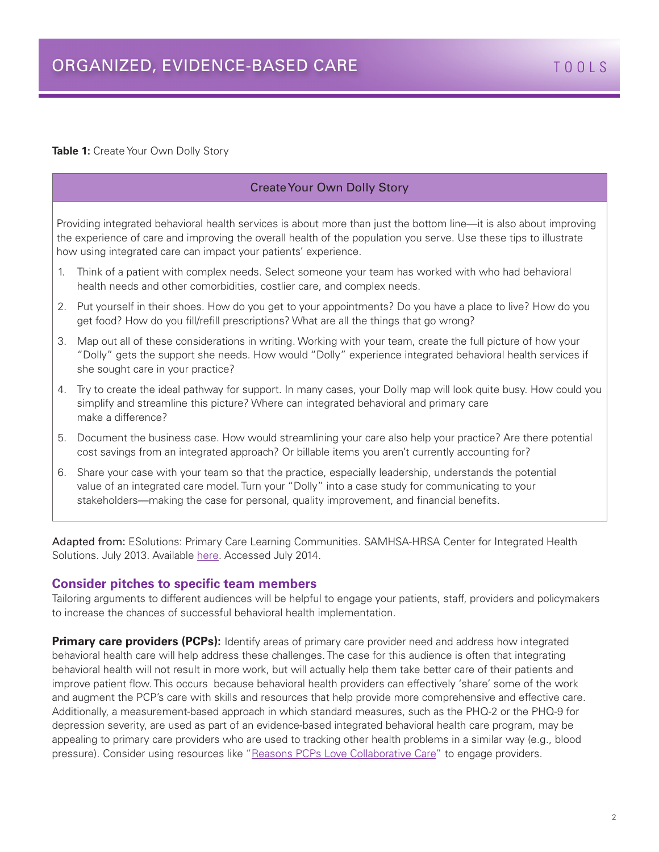**Table 1:** Create Your Own Dolly Story

#### Create Your Own Dolly Story

Providing integrated behavioral health services is about more than just the bottom line—it is also about improving the experience of care and improving the overall health of the population you serve. Use these tips to illustrate how using integrated care can impact your patients' experience.

- 1. Think of a patient with complex needs. Select someone your team has worked with who had behavioral health needs and other comorbidities, costlier care, and complex needs.
- 2. Put yourself in their shoes. How do you get to your appointments? Do you have a place to live? How do you get food? How do you fill/refill prescriptions? What are all the things that go wrong?
- 3. Map out all of these considerations in writing. Working with your team, create the full picture of how your "Dolly" gets the support she needs. How would "Dolly" experience integrated behavioral health services if she sought care in your practice?
- 4. Try to create the ideal pathway for support. In many cases, your Dolly map will look quite busy. How could you simplify and streamline this picture? Where can integrated behavioral and primary care make a difference?
- 5. Document the business case. How would streamlining your care also help your practice? Are there potential cost savings from an integrated approach? Or billable items you aren't currently accounting for?
- 6. Share your case with your team so that the practice, especially leadership, understands the potential value of an integrated care model. Turn your "Dolly" into a case study for communicating to your stakeholders—making the case for personal, quality improvement, and financial benefits.

Adapted from: ESolutions: Primary Care Learning Communities. SAMHSA-HRSA Center for Integrated Health Solutions. July 2013. Available [here](http://www.integration.samhsa.gov/about-us/esolutions-newsletter/jul). Accessed July 2014.

#### **Consider pitches to specific team members**

Tailoring arguments to different audiences will be helpful to engage your patients, staff, providers and policymakers to increase the chances of successful behavioral health implementation.

**Primary care providers (PCPs):** Identify areas of primary care provider need and address how integrated behavioral health care will help address these challenges. The case for this audience is often that integrating behavioral health will not result in more work, but will actually help them take better care of their patients and improve patient flow. This occurs because behavioral health providers can effectively 'share' some of the work and augment the PCP's care with skills and resources that help provide more comprehensive and effective care. Additionally, a measurement-based approach in which standard measures, such as the PHQ-2 or the PHQ-9 for depression severity, are used as part of an evidence-based integrated behavioral health care program, may be appealing to primary care providers who are used to tracking other health problems in a similar way (e.g., blood pressure). Consider using resources like "[Reasons PCPs Love Collaborative Care"](http://aims.uw.edu/resource-library/reasons-pcps-love-collaborative-care) to engage providers.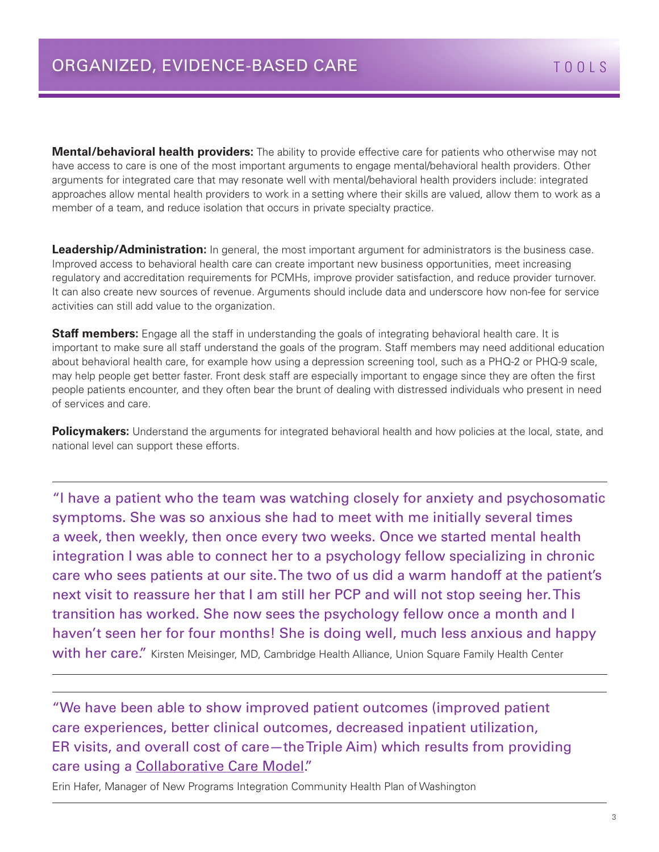**Mental/behavioral health providers:** The ability to provide effective care for patients who otherwise may not have access to care is one of the most important arguments to engage mental/behavioral health providers. Other arguments for integrated care that may resonate well with mental/behavioral health providers include: integrated approaches allow mental health providers to work in a setting where their skills are valued, allow them to work as a member of a team, and reduce isolation that occurs in private specialty practice.

**Leadership/Administration:** In general, the most important argument for administrators is the business case. Improved access to behavioral health care can create important new business opportunities, meet increasing regulatory and accreditation requirements for PCMHs, improve provider satisfaction, and reduce provider turnover. It can also create new sources of revenue. Arguments should include data and underscore how non-fee for service activities can still add value to the organization.

**Staff members:** Engage all the staff in understanding the goals of integrating behavioral health care. It is important to make sure all staff understand the goals of the program. Staff members may need additional education about behavioral health care, for example how using a depression screening tool, such as a PHQ-2 or PHQ-9 scale, may help people get better faster. Front desk staff are especially important to engage since they are often the first people patients encounter, and they often bear the brunt of dealing with distressed individuals who present in need of services and care.

**Policymakers:** Understand the arguments for integrated behavioral health and how policies at the local, state, and national level can support these efforts.

"I have a patient who the team was watching closely for anxiety and psychosomatic symptoms. She was so anxious she had to meet with me initially several times a week, then weekly, then once every two weeks. Once we started mental health integration I was able to connect her to a psychology fellow specializing in chronic care who sees patients at our site. The two of us did a warm handoff at the patient's next visit to reassure her that I am still her PCP and will not stop seeing her. This transition has worked. She now sees the psychology fellow once a month and I haven't seen her for four months! She is doing well, much less anxious and happy with her care." Kirsten Meisinger, MD, Cambridge Health Alliance, Union Square Family Health Center

"We have been able to show improved patient outcomes (improved patient care experiences, better clinical outcomes, decreased inpatient utilization, ER visits, and overall cost of care—the Triple Aim) which results from providing care using a [Collaborative Care Model.](http://aims.uw.edu/collaborative-care)"

Erin Hafer, Manager of New Programs Integration Community Health Plan of Washington